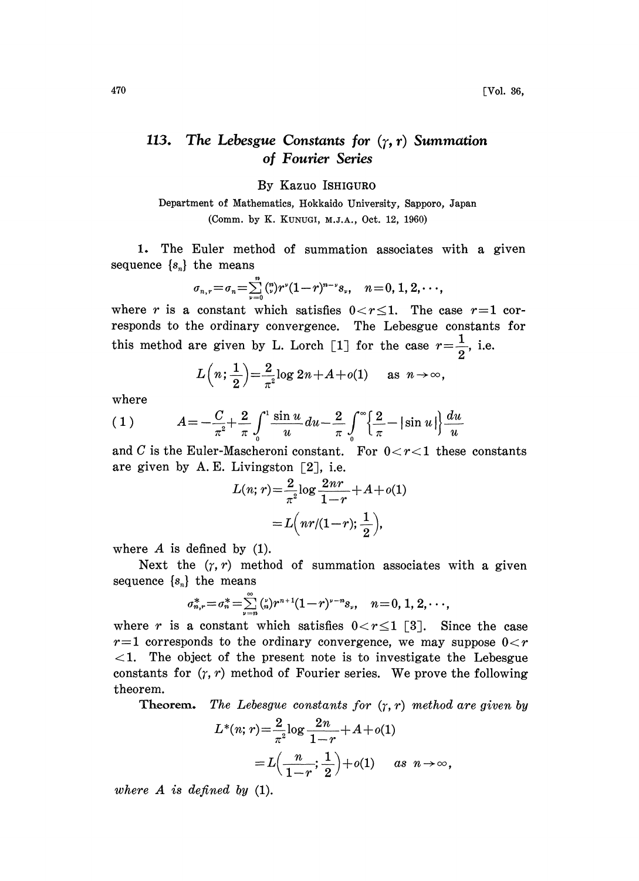## 113. The Lebesgue Constants for  $(\gamma, r)$  Summation of Fourier Series

By Kazuo ISHIGURO

Department of Mathematics, Hokkaido University, Sapporo, Japan (Comm. by K. KUNUGI, M.J.A., Oct. 12, 1960)

1. The Euler method of summation associates with a given sequence  $\{s_n\}$  the means

$$
\sigma_{n,r} = \sigma_n = \sum_{\nu=0}^n \binom{n}{\nu} r^{\nu} (1-r)^{n-\nu} s_{\nu}, \quad n = 0, 1, 2, \cdots,
$$

where r is a constant which satisfies  $0 < r \leq 1$ . The case r=1 corresponds to the ordinary convergence. The Lebesgue constants for this method are given by L. Lorch [1] for the case  $r=\frac{1}{2}$ , i.e.

$$
L\left(n;\frac{1}{2}\right) = \frac{2}{\pi^2} \log 2n + A + o(1) \quad \text{as } n \to \infty,
$$

where

(1) 
$$
A = -\frac{C}{\pi^2} + \frac{2}{\pi} \int_0^1 \frac{\sin u}{u} du - \frac{2}{\pi} \int_0^{\infty} \left\{ \frac{2}{\pi} - |\sin u| \right\} \frac{du}{u}
$$

and C is the Euler-Mascheroni constant. For  $0 < r < 1$  these constants are given by A.E. Livingston  $\lceil 2 \rceil$ , i.e.

$$
L(n; r) = \frac{2}{\pi^2} \log \frac{2nr}{1-r} + A + o(1)
$$
  
=  $L\left(nr/(1-r); \frac{1}{2}\right)$ ,

where  $A$  is defined by  $(1)$ .

Next the  $(r, r)$  method of summation associates with a given sequence  $\{s_n\}$  the means

$$
\sigma_{n,r}^* = \sigma_n^* = \sum_{\nu=n}^{\infty} {n \choose n} r^{n+1} (1-r)^{\nu-n} s_{\nu}, \quad n = 0, 1, 2, \cdots,
$$

where r is a constant which satisfies  $0 < r \leq 1$  [3]. Since the case  $r=1$  corresponds to the ordinary convergence, we may suppose  $0 < r$  $\leq$ 1. The object of the present note is to investigate the Lebesgue constants for  $(r, r)$  method of Fourier series. We prove the following theorem.

**Theorem.** The Lebesgue constants for  $(\gamma, r)$  method are given by

$$
L^*(n; r) = \frac{2}{\pi^2} \log \frac{2n}{1-r} + A + o(1)
$$
  
=  $L\left(\frac{n}{1-r}; \frac{1}{2}\right) + o(1)$  as  $n \to \infty$ ,

where  $A$  is defined by  $(1)$ .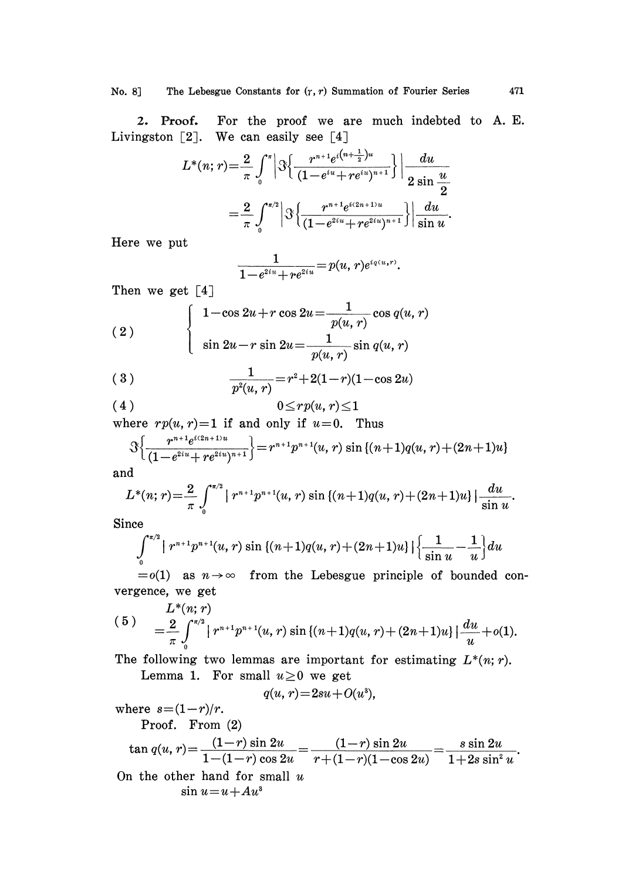2. Proof. For the proof we are much indebted to A.E. 2. Proof. For the proof we a<br>Livingston  $[2]$ . We can easily see  $[4]$ 

$$
L^*(n;r) = \frac{2}{\pi} \int_0^{\pi} \left| \Re \left\{ \frac{r^{n+1} e^{i(n+\frac{1}{2})u}}{(1 - e^{iu} + re^{iu})^{n+1}} \right\} \right| \frac{du}{2 \sin \frac{u}{2}}
$$

$$
= \frac{2}{\pi} \int_0^{\pi/2} \left| \Re \left\{ \frac{r^{n+1} e^{i(2n+1)u}}{(1 - e^{2iu} + re^{2iu})^{n+1}} \right\} \right| \frac{du}{\sin u}.
$$

Here we put

$$
\frac{1}{1-e^{2iu}+re^{2iu}}=p(u,r)e^{i q(u,r)}.
$$

Then we get [4]

(2)  

$$
\begin{cases}\n1-\cos 2u + r \cos 2u = \frac{1}{p(u,r)} \cos q(u,r) \\
\sin 2u - r \sin 2u = \frac{1}{p(u,r)} \sin q(u,r)\n\end{cases}
$$

$$
(3) \qquad \qquad \frac{1}{p^2(u,r)} = r^2 + 2(1-r)(1-\cos 2u)
$$

$$
(4) \t\t\t 0 \leq rp(u,r) \leq 1
$$

where  $rp(u, r)=1$  if and only if  $u=0$ . Thus

$$
\mathcal{S}\left\{\frac{r^{n+1}e^{i(2n+1)u}}{(1-e^{2iu}+re^{2iu})^{n+1}}\right\} = r^{n+1}p^{n+1}(u, r) \sin\left\{(n+1)q(u, r)+(2n+1)u\right\}
$$

and

$$
L^{*}(n;r) = \frac{2}{\pi} \int_{0}^{\pi/2} |r^{n+1}p^{n+1}(u,r) \sin\{(n+1)q(u,r)+(2n+1)u\}| \frac{du}{\sin u}.
$$

Since

$$
\int_0^{\pi/2} \left[ r^{n+1} p^{n+1} (u, r) \sin \left[ (n+1) q(u, r) + (2n+1) u \right] \right] \left\{ \frac{1}{\sin u} - \frac{1}{u} \right\} du
$$

 $= o(1)$  as  $n \rightarrow \infty$  from the Lebesgue principle of bounded convergence, we get

(5) 
$$
L^*(n; r) = \frac{2}{\pi} \int_0^{\pi/2} |r^{n+1}p^{n+1}(u, r) \sin\{(n+1)q(u, r) + (2n+1)u\}| \frac{du}{u} + o(1).
$$

The following two lemmas are important for estimating  $L^*(n; r)$ . Lemma 1. For small  $u \ge 0$  we get

$$
q(u,r)=2su+O(u^3),
$$

where  $s=(1-r)/r$ . Proof. From (2)

$$
\tan q(u, r) = \frac{(1-r)\sin 2u}{1-(1-r)\cos 2u} = \frac{(1-r)\sin 2u}{r+(1-r)(1-\cos 2u)} = \frac{s\sin 2u}{1+2s\sin^2 u}.
$$
\nOn the other hand for small  $u$ 

\n
$$
\sin u = u + Au^3
$$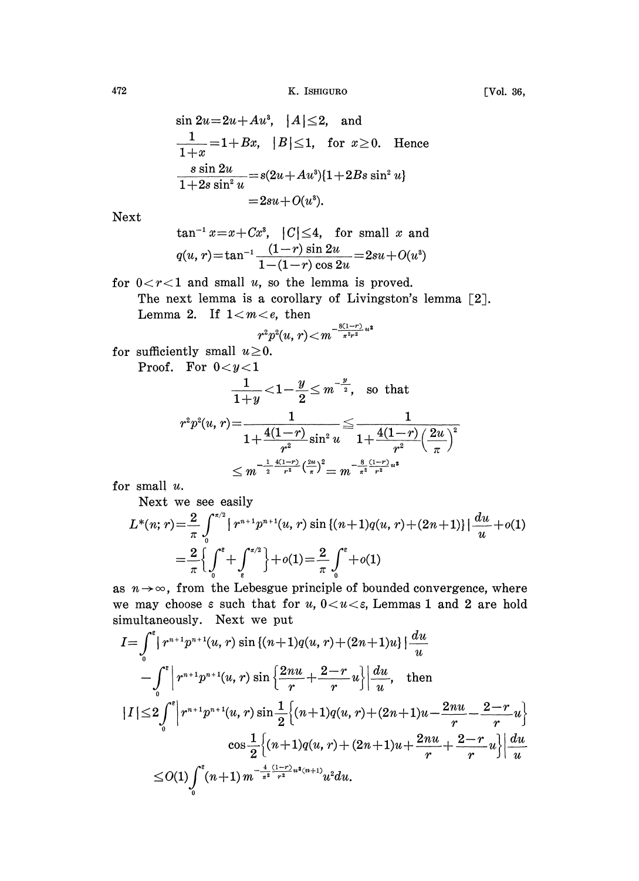$$
\sin 2u = 2u + Au^{3}, \quad |A| \leq 2, \quad \text{and}
$$
\n
$$
\frac{1}{1+x} = 1 + Bx, \quad |B| \leq 1, \quad \text{for } x \geq 0. \quad \text{Hence}
$$
\n
$$
\frac{s \sin 2u}{1+2s \sin^{2} u} = s(2u + Au^{3})\{1+2Bs \sin^{2} u\}
$$
\n
$$
= 2su + O(u^{3}).
$$

Next

$$
\tan^{-1} x = x + Cx^3, \quad |C| \le 4, \quad \text{for small } x \text{ and}
$$
\n
$$
q(u, r) = \tan^{-1} \frac{(1 - r) \sin 2u}{1 - (1 - r) \cos 2u} = 2su + O(u^3)
$$

for  $0 < r < 1$  and small u, so the lemma is proved.

The next lemma is a corollary of Livingston's lemma [2J. Lemma 2. If  $1 < m < e$ , then

$$
r^2p^2(u,r) \!<\! m^{-\frac{8(1-r)}{\pi^2r^2}u^2}
$$

for sufficiently small  $u \ge 0$ .

Proof. For  $0 < y < 1$ 

$$
\frac{1}{1+y} < 1 - \frac{y}{2} \le m^{-\frac{y}{2}}, \text{ so that}
$$
\n
$$
r^2 p^2 (u, r) = \frac{1}{1 + \frac{4(1-r)}{r^2} \sin^2 u} \le \frac{1}{1 + \frac{4(1-r)}{r^2} \left(\frac{2u}{\pi}\right)^2}
$$
\n
$$
\le m^{-\frac{1}{2} \frac{4(1-r)}{r^2} \left(\frac{2u}{\pi}\right)^2} = m^{-\frac{8}{\pi^2} \frac{(1-r)}{r^2} u^2}
$$

for small u.

Next we see easily

$$
L^*(n; r) = \frac{2}{\pi} \int_0^{\pi/2} \left[ r^{n+1} p^{n+1}(u, r) \sin \left\{ (n+1)q(u, r) + (2n+1) \right\} \right] \frac{du}{u} + o(1)
$$
  

$$
= \frac{2}{\pi} \left\{ \int_0^{\epsilon} + \int_{\epsilon}^{\pi/2} \right\} + o(1) = \frac{2}{\pi} \int_0^{\epsilon} + o(1)
$$
  
as  $n \to \infty$ , from the Lebesgue principle of bounded convergence, where

we may choose  $\varepsilon$  such that for  $u, 0 < u < \varepsilon$ , Lemmas 1 and 2 are hold simultaneously. Next we put

$$
I = \int_0^e |r^{n+1}p^{n+1}(u, r) \sin \{(n+1)q(u, r) + (2n+1)u\}| \frac{du}{u}
$$
  
\n
$$
- \int_0^e \left| r^{n+1}p^{n+1}(u, r) \sin \left\{ \frac{2nu}{r} + \frac{2-r}{r}u \right\} \right| \frac{du}{u}, \text{ then}
$$
  
\n
$$
|I| \le 2 \int_0^e \left| r^{n+1}p^{n+1}(u, r) \sin \frac{1}{2} \left\{ (n+1)q(u, r) + (2n+1)u - \frac{2nu}{r} - \frac{2-r}{r}u \right\} \right| \frac{du}{u}
$$
  
\n
$$
\cos \frac{1}{2} \left\{ (n+1)q(u, r) + (2n+1)u + \frac{2nu}{r} + \frac{2-r}{r}u \right\} \left| \frac{du}{u} \right|
$$
  
\n
$$
\le O(1) \int_0^e (n+1) m^{-\frac{4}{\pi^2} \frac{(1-r)}{r^2} u^2(m+1)} u^2 du.
$$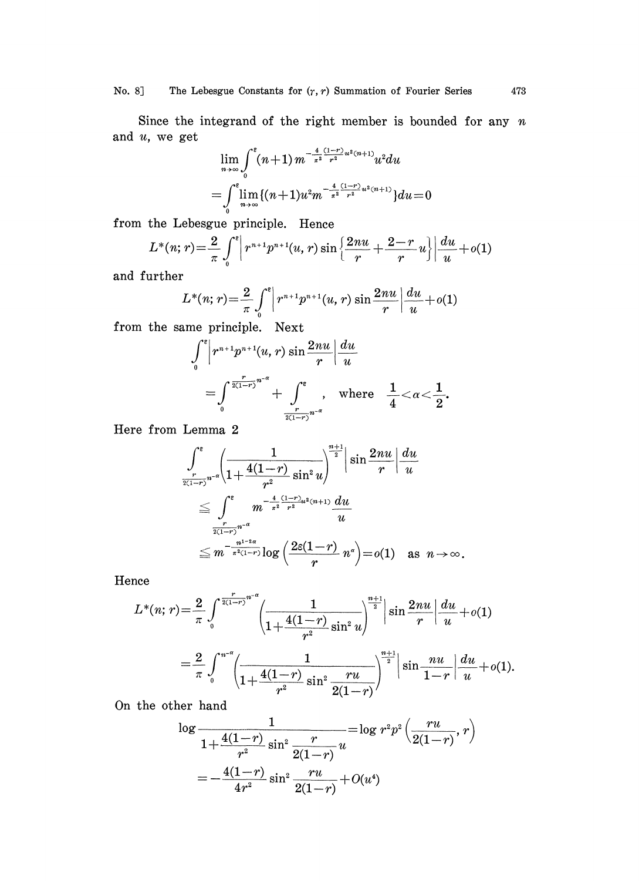No. 8] The Lebesgue Constants for  $(r, r)$  Summation of Fourier Series

Since the integrand of the right member is bounded for any  $n$ and  $u$ , we get

$$
\lim_{n \to \infty} \int_{0}^{\varepsilon} (n+1) m^{-\frac{4}{\pi^2} \frac{(1-r)}{r^2} u^2 (n+1)} u^2 du
$$
  
= 
$$
\int_{0}^{\varepsilon} \lim_{n \to \infty} \{ (n+1) u^2 m^{-\frac{4}{\pi^2} \frac{(1-r)}{r^2} u^2 (n+1)} \} du = 0
$$

from the Lebesgue principle. Hence

$$
L^{*}(n;r) = \frac{2}{\pi} \int_{0}^{r} \left| r^{n+1} p^{n+1}(u,r) \sin \left\{ \frac{2nu}{r} + \frac{2-r}{r} u \right\} \right| \frac{du}{u} + o(1)
$$

and further

$$
L^{*}(n;r) = \frac{2}{\pi} \int_{0}^{e} \left| r^{n+1} p^{n+1}(u,r) \sin \frac{2nu}{r} \right| \frac{du}{u} + o(1)
$$

from the same principle. Next

$$
\int_0^{\varepsilon} \left| r^{n+1} p^{n+1}(u, r) \sin \frac{2nu}{r} \right| \frac{du}{u}
$$
  
= 
$$
\int_0^{\frac{r}{2(1-r)}n^{-\alpha}} + \int_{\frac{r}{2(1-r)}n^{-\alpha}}^{\varepsilon} , \text{ where } \frac{1}{4} < \alpha < \frac{1}{2}.
$$

Here from Lemma 2

$$
\int_{\frac{r}{2(1-r)}n^{-a}}^{\infty} \left( \frac{1}{1 + \frac{4(1-r)}{r^2} \sin^2 u} \right)^{\frac{n+1}{2}} \sin \frac{2nu}{r} \left| \frac{du}{u} \right|
$$
  

$$
\leq \int_{\frac{r}{2(1-r)}n^{-a}}^{\infty} m^{-\frac{4}{\pi^2} \frac{(1-r)}{r^2} u^2(n+1)} \frac{du}{u}
$$
  

$$
\leq m^{-\frac{n^{1-2a}}{2(1-r)}} \log \left( \frac{2\varepsilon(1-r)}{r} n^a \right) = o(1) \text{ as } n \to \infty.
$$

Hence

$$
L^*(n; r) = \frac{2}{\pi} \int_0^{\frac{r}{2(1-r)}n^{-\alpha}} \left( \frac{1}{1 + \frac{4(1-r)}{r^2} \sin^2 u} \right)^{\frac{n+1}{2}} \sin \frac{2nu}{r} \left| \frac{du}{u} + o(1) \right|
$$
  
=  $\frac{2}{\pi} \int_0^{n^{-\alpha}} \left( \frac{1}{1 + \frac{4(1-r)}{r^2} \sin^2 \frac{ru}{2(1-r)}} \right)^{\frac{n+1}{2}} \sin \frac{nu}{1-r} \left| \frac{du}{u} + o(1) \right|.$ 

On the other hand

$$
\log \frac{1}{1 + \frac{4(1-r)}{r^2} \sin^2 \frac{r}{2(1-r)}} = \log r^2 p^2 \left(\frac{ru}{2(1-r)}, r\right)
$$

$$
= -\frac{4(1-r)}{4r^2} \sin^2 \frac{ru}{2(1-r)} + O(u^4)
$$